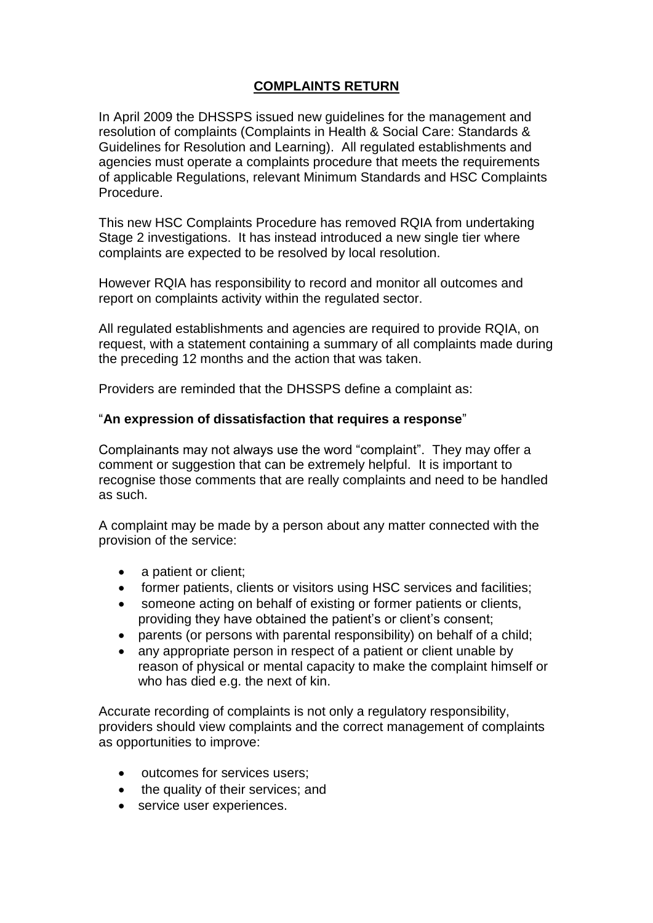## **COMPLAINTS RETURN**

In April 2009 the DHSSPS issued new guidelines for the management and resolution of complaints (Complaints in Health & Social Care: Standards & Guidelines for Resolution and Learning). All regulated establishments and agencies must operate a complaints procedure that meets the requirements of applicable Regulations, relevant Minimum Standards and HSC Complaints Procedure.

This new HSC Complaints Procedure has removed RQIA from undertaking Stage 2 investigations. It has instead introduced a new single tier where complaints are expected to be resolved by local resolution.

However RQIA has responsibility to record and monitor all outcomes and report on complaints activity within the regulated sector.

All regulated establishments and agencies are required to provide RQIA, on request, with a statement containing a summary of all complaints made during the preceding 12 months and the action that was taken.

Providers are reminded that the DHSSPS define a complaint as:

## "**An expression of dissatisfaction that requires a response**"

Complainants may not always use the word "complaint". They may offer a comment or suggestion that can be extremely helpful. It is important to recognise those comments that are really complaints and need to be handled as such.

A complaint may be made by a person about any matter connected with the provision of the service:

- a patient or client;
- former patients, clients or visitors using HSC services and facilities;
- someone acting on behalf of existing or former patients or clients, providing they have obtained the patient's or client's consent;
- parents (or persons with parental responsibility) on behalf of a child;
- any appropriate person in respect of a patient or client unable by reason of physical or mental capacity to make the complaint himself or who has died e.g. the next of kin.

Accurate recording of complaints is not only a regulatory responsibility, providers should view complaints and the correct management of complaints as opportunities to improve:

- outcomes for services users;
- the quality of their services; and
- service user experiences.